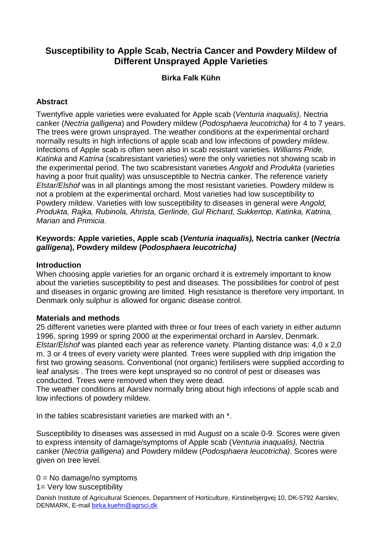# **Susceptibility to Apple Scab, Nectria Cancer and Powdery Mildew of Different Unsprayed Apple Varieties**

# **Birka Falk Kühn**

### **Abstract**

Twentyfive apple varieties were evaluated for Apple scab (Venturia inaqualis), Nectria canker (Nectria galligena) and Powdery mildew (Podosphaera leucotricha) for 4 to 7 years. The trees were grown unsprayed. The weather conditions at the experimental orchard normally results in high infections of apple scab and low infections of powdery mildew. Infections of Apple scab is often seen also in scab resistant varieties. Williams Pride, Katinka and Katrina (scabresistant varieties) were the only varieties not showing scab in the experimental period. The two scabresistant varieties Angold and Produkta (varieties having a poor fruit quality) was unsusceptible to Nectria canker. The reference variety Elstar/Elshof was in all plantings among the most resistant varieties. Powdery mildew is not a problem at the experimental orchard. Most varieties had low susceptibility to Powdery mildew. Varieties with low susceptibility to diseases in general were Angold, Produkta, Rajka, Rubinola, Ahrista, Gerlinde, Gul Richard, Sukkertop, Katinka, Katrina, Marian and Primicia.

#### **Keywords: Apple varieties, Apple scab (Venturia inaqualis), Nectria canker (Nectria galligena), Powdery mildew (Podosphaera leucotricha)**

#### **Introduction**

When choosing apple varieties for an organic orchard it is extremely important to know about the varieties susceptibility to pest and diseases. The possibilities for control of pest and diseases in organic growing are limited. High resistance is therefore very important. In Denmark only sulphur is allowed for organic disease control.

#### **Materials and methods**

25 different varieties were planted with three or four trees of each variety in either autumn 1996, spring 1999 or spring 2000 at the experimental orchard in Aarslev, Denmark. Elstar/Elshof was planted each year as reference variety. Planting distance was: 4,0 x 2,0 m. 3 or 4 trees of every variety were planted. Trees were supplied with drip irrigation the first two growing seasons. Conventional (not organic) fertilisers were supplied according to leaf analysis . The trees were kept unsprayed so no control of pest or diseases was conducted. Trees were removed when they were dead.

The weather conditions at Aarslev normally bring about high infections of apple scab and low infections of powdery mildew.

In the tables scabresistant varieties are marked with an \*.

Susceptibility to diseases was assessed in mid August on a scale 0-9. Scores were given to express intensity of damage/symptoms of Apple scab (Venturia inaqualis), Nectria canker (Nectria galligena) and Powdery mildew (Podosphaera leucotricha). Scores were given on tree level.

 $0 = No$  damage/no symptoms

1= Very low susceptibility

Danish Institute of Agricultural Sciences, Department of Horticulture, Kirstinebjergvej 10, DK-5792 Aarslev, DENMARK, E-mail birka.kuehn@agrsci.dk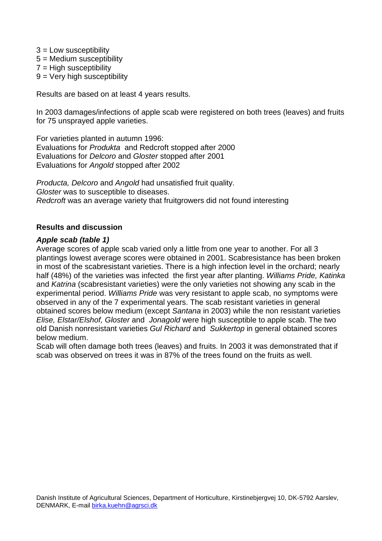- 3 = Low susceptibility
- 5 = Medium susceptibility  $7 =$  High susceptibility
- $9$  = Very high susceptibility
- 

Results are based on at least 4 years results.

In 2003 damages/infections of apple scab were registered on both trees (leaves) and fruits for 75 unsprayed apple varieties.

For varieties planted in autumn 1996: Evaluations for Produkta and Redcroft stopped after 2000 Evaluations for Delcoro and Gloster stopped after 2001 Evaluations for Angold stopped after 2002

Producta, Delcoro and Angold had unsatisfied fruit quality. Gloster was to susceptible to diseases. Redcroft was an average variety that fruitgrowers did not found interesting

#### **Results and discussion**

#### **Apple scab (table 1)**

Average scores of apple scab varied only a little from one year to another. For all 3 plantings lowest average scores were obtained in 2001. Scabresistance has been broken in most of the scabresistant varieties. There is a high infection level in the orchard; nearly half (48%) of the varieties was infected the first year after planting. Williams Pride, Katinka and Katrina (scabresistant varieties) were the only varieties not showing any scab in the experimental period. Williams Pride was very resistant to apple scab, no symptoms were observed in any of the 7 experimental years. The scab resistant varieties in general obtained scores below medium (except Santana in 2003) while the non resistant varieties Elise, Elstar/Elshof, Gloster and Jonagold were high susceptible to apple scab. The two old Danish nonresistant varieties Gul Richard and Sukkertop in general obtained scores below medium.

Scab will often damage both trees (leaves) and fruits. In 2003 it was demonstrated that if scab was observed on trees it was in 87% of the trees found on the fruits as well.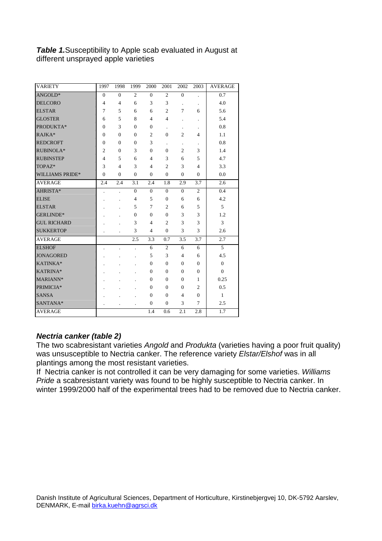### **Table 1.**Susceptibility to Apple scab evaluated in August at different unsprayed apple varieties

| <b>VARIETY</b>         | 1997           | 1998           | 1999                 | 2000           | 2001           | 2002           | 2003                 | <b>AVERAGE</b> |
|------------------------|----------------|----------------|----------------------|----------------|----------------|----------------|----------------------|----------------|
| ANGOLD*                | $\overline{0}$ | $\theta$       | $\overline{c}$       | $\overline{0}$ | $\overline{2}$ | $\overline{0}$ | $\ddot{\phantom{0}}$ | 0.7            |
| <b>DELCORO</b>         | $\overline{4}$ | $\overline{4}$ | 6                    | 3              | 3              |                | $\blacksquare$       | 4.0            |
| <b>ELSTAR</b>          | 7              | 5              | 6                    | 6              | $\overline{c}$ | 7              | 6                    | 5.6            |
| <b>GLOSTER</b>         | 6              | 5              | 8                    | $\overline{4}$ | $\overline{4}$ |                | $\ddot{\phantom{a}}$ | 5.4            |
| PRODUKTA*              | $\Omega$       | 3              | $\Omega$             | $\Omega$       | $\blacksquare$ |                |                      | 0.8            |
| RAJKA*                 | $\Omega$       | $\theta$       | $\Omega$             | $\overline{c}$ | $\Omega$       | $\overline{2}$ | 4                    | 1.1            |
| <b>REDCROFT</b>        | $\Omega$       | $\theta$       | $\Omega$             | 3              |                |                |                      | 0.8            |
| RUBINOLA*              | $\overline{c}$ | $\theta$       | 3                    | $\theta$       | $\overline{0}$ | $\overline{c}$ | 3                    | 1.4            |
| <b>RUBINSTEP</b>       | 4              | 5              | 6                    | 4              | 3              | 6              | 5                    | 4.7            |
| TOPAZ*                 | 3              | 4              | 3                    | 4              | $\overline{2}$ | 3              | 4                    | 3.3            |
| <b>WILLIAMS PRIDE*</b> | $\Omega$       | $\theta$       | $\Omega$             | $\Omega$       | $\Omega$       | $\overline{0}$ | $\mathbf{0}$         | 0.0            |
| <b>AVERAGE</b>         | 2.4            | 2.4            | 3.1                  | 2.4            | 1.8            | 2.9            | 3.7                  | 2.6            |
| AHRISTA*               |                |                | $\mathbf{0}$         | $\mathbf{0}$   | $\mathbf{0}$   | $\overline{0}$ | $\overline{2}$       | 0.4            |
| <b>ELISE</b>           |                |                | $\overline{4}$       | 5              | $\overline{0}$ | 6              | 6                    | 4.2            |
| <b>ELSTAR</b>          |                |                | 5                    | 7              | $\overline{c}$ | 6              | 5                    | 5              |
| GERLINDE*              |                |                | $\mathbf{0}$         | $\overline{0}$ | $\overline{0}$ | 3              | 3                    | 1.2            |
| <b>GUL RICHARD</b>     |                |                | 3                    | 4              | $\overline{2}$ | 3              | 3                    | 3              |
| <b>SUKKERTOP</b>       |                |                | 3                    | 4              | $\mathbf{0}$   | 3              | 3                    | 2.6            |
| <b>AVERAGE</b>         |                |                | 2.5                  | 3.3            | 0.7            | 3.5            | 3.7                  | 2.7            |
| <b>ELSHOF</b>          |                |                | ä,                   | 6              | $\overline{2}$ | 6              | 6                    | 5              |
| <b>JONAGORED</b>       |                |                |                      | 5              | 3              | $\overline{4}$ | 6                    | 4.5            |
| KATINKA*               |                |                |                      | $\theta$       | $\Omega$       | $\overline{0}$ | $\overline{0}$       | $\overline{0}$ |
| KATRINA*               |                |                |                      | 0              | $\mathbf{0}$   | $\overline{0}$ | $\overline{0}$       | $\overline{0}$ |
| MARIANN*               |                |                |                      | 0              | $\mathbf{0}$   | $\overline{0}$ | 1                    | 0.25           |
| PRIMICIA*              |                |                |                      | 0              | $\mathbf{0}$   | $\overline{0}$ | $\overline{2}$       | 0.5            |
| <b>SANSA</b>           |                |                |                      | $\Omega$       | $\Omega$       | 4              | $\theta$             | $\mathbf{1}$   |
| SANTANA*               |                |                | $\ddot{\phantom{0}}$ | $\mathbf{0}$   | $\mathbf{0}$   | 3              | $\overline{7}$       | 2.5            |
| <b>AVERAGE</b>         |                |                |                      | 1.4            | 0.6            | 2.1            | 2.8                  | 1.7            |

#### **Nectria canker (table 2)**

The two scabresistant varieties Angold and Produkta (varieties having a poor fruit quality) was unsusceptible to Nectria canker. The reference variety Elstar/Elshof was in all plantings among the most resistant varieties.

If Nectria canker is not controlled it can be very damaging for some varieties. Williams Pride a scabresistant variety was found to be highly susceptible to Nectria canker. In winter 1999/2000 half of the experimental trees had to be removed due to Nectria canker.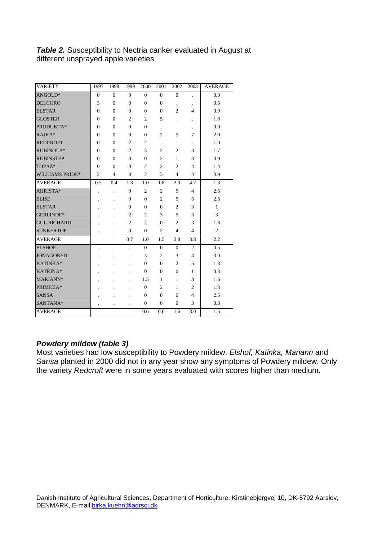### **Table 2.** Susceptibility to Nectria canker evaluated in August at different unsprayed apple varieties

| <b>VARIETY</b>         | 1997           | 1998                    | 1999             | 2000             | 2001             | 2002           | 2003                 | <b>AVERAGE</b> |
|------------------------|----------------|-------------------------|------------------|------------------|------------------|----------------|----------------------|----------------|
| ANGOLD*                | $\overline{0}$ | $\overline{0}$          | $\overline{0}$   | $\overline{0}$   | $\overline{0}$   | $\overline{0}$ | ä,                   | 0.0            |
| <b>DELCORO</b>         | 3              | $\overline{0}$          | $\overline{0}$   | $\overline{0}$   | $\overline{0}$   | $\cdot$        |                      | 0.6            |
| <b>ELSTAR</b>          | $\overline{0}$ | $\overline{0}$          | $\overline{0}$   | $\overline{0}$   | $\boldsymbol{0}$ | $\overline{c}$ | $\overline{4}$       | 0.9            |
| <b>GLOSTER</b>         | $\overline{0}$ | $\overline{0}$          | $\overline{c}$   | $\overline{c}$   | 5                |                |                      | 1.8            |
| PRODUKTA*              | $\overline{0}$ | $\overline{0}$          | $\overline{0}$   | $\overline{0}$   |                  |                | $\ddot{\phantom{0}}$ | 0.0            |
| RAJKA*                 | $\overline{0}$ | $\overline{0}$          | $\overline{0}$   | $\overline{0}$   | $\overline{c}$   | 5              | 7                    | 2.0            |
| <b>REDCROFT</b>        | $\overline{0}$ | $\overline{0}$          | $\overline{c}$   | $\overline{c}$   | $\blacksquare$   | $\cdot$        |                      | 1.0            |
| RUBINOLA*              | $\overline{0}$ | $\overline{0}$          | $\overline{c}$   | 3                | $\overline{c}$   | $\overline{2}$ | 3                    | 1.7            |
| <b>RUBINSTEP</b>       | $\overline{0}$ | $\overline{0}$          | $\overline{0}$   | $\overline{0}$   | $\overline{c}$   | $\mathbf{1}$   | 3                    | 0.9            |
| TOPAZ*                 | $\overline{0}$ | $\overline{0}$          | $\overline{0}$   | $\overline{c}$   | $\overline{c}$   | $\overline{c}$ | $\overline{4}$       | 1.4            |
| <b>WILLIAMS PRIDE*</b> | $\overline{2}$ | $\overline{\mathbf{4}}$ | 8                | $\overline{c}$   | 3                | $\overline{4}$ | $\overline{4}$       | 3.9            |
| <b>AVERAGE</b>         | 0.5            | 0.4                     | 1.3              | 1.0              | 1.8              | 2.3            | 4.2                  | 1.3            |
| AHRISTA*               |                |                         | $\overline{0}$   | $\overline{c}$   | $\overline{c}$   | 5              | $\overline{4}$       | 2.6            |
| <b>ELISE</b>           |                |                         | $\overline{0}$   | $\overline{0}$   | $\overline{c}$   | 5              | 6                    | 2.6            |
| <b>ELSTAR</b>          |                |                         | $\overline{0}$   | $\overline{0}$   | $\overline{0}$   | $\overline{c}$ | 3                    | $\mathbf{1}$   |
| GERLINDE*              |                |                         | $\overline{c}$   | $\overline{c}$   | 3                | 5              | 3                    | 3              |
| <b>GUL RICHARD</b>     |                |                         | $\mathfrak{2}$   | $\overline{c}$   | $\overline{0}$   | $\overline{c}$ | 3                    | 1.8            |
| <b>SUKKERTOP</b>       |                |                         | $\boldsymbol{0}$ | $\boldsymbol{0}$ | $\mathfrak{2}$   | $\overline{4}$ | $\overline{4}$       | $\overline{2}$ |
| <b>AVERAGE</b>         |                |                         | 0.7              | 1.0              | 1.5              | 3.8            | 3.8                  | 2.2            |
| <b>ELSHOF</b>          |                |                         |                  | $\overline{0}$   | $\overline{0}$   | $\overline{0}$ | $\overline{c}$       | 0.5            |
| <b>JONAGORED</b>       |                |                         |                  | 3                | $\overline{c}$   | 3              | $\overline{4}$       | 3.0            |
| KATINKA*               |                |                         |                  | $\boldsymbol{0}$ | $\boldsymbol{0}$ | $\overline{c}$ | 5                    | 1.8            |
| KATRINA*               |                |                         |                  | $\boldsymbol{0}$ | $\boldsymbol{0}$ | $\mathbf{0}$   | $\mathbf{1}$         | 0.3            |
| MARIANN*               |                |                         |                  | 1.5              | $\mathbf{1}$     | $\mathbf{1}$   | 3                    | 1.6            |
| PRIMICIA*              |                |                         |                  | $\overline{0}$   | $\overline{c}$   | $\mathbf{1}$   | $\overline{2}$       | 1.3            |
| <b>SANSA</b>           |                |                         |                  | $\overline{0}$   | $\overline{0}$   | 6              | $\overline{4}$       | 2.5            |
| SANTANA*               |                |                         |                  | $\overline{0}$   | $\overline{0}$   | $\overline{0}$ | 3                    | 0.8            |
| <b>AVERAGE</b>         |                |                         |                  | 0.6              | 0.6              | 1.6            | 3.0                  | 1.5            |

# **Powdery mildew (table 3)**

Most varieties had low susceptibility to Powdery mildew. Elshof, Katinka, Mariann and Sansa planted in 2000 did not in any year show any symptoms of Powdery mildew. Only the variety Redcroft were in some years evaluated with scores higher than medium.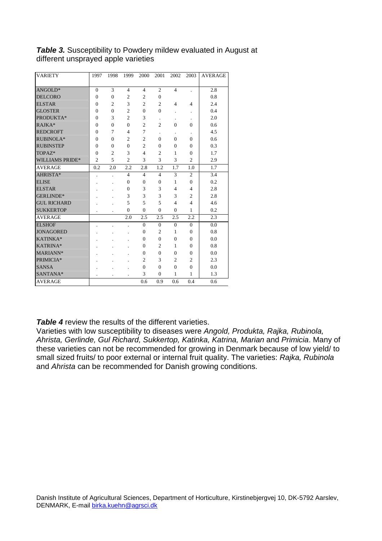| <b>VARIETY</b>         | 1997           | 1998           | 1999           | 2000           | 2001           | 2002           | 2003           | <b>AVERAGE</b> |
|------------------------|----------------|----------------|----------------|----------------|----------------|----------------|----------------|----------------|
|                        |                |                |                |                |                |                |                |                |
| ANGOLD*                | $\theta$       | 3              | $\overline{4}$ | $\overline{4}$ | $\overline{c}$ | $\overline{4}$ |                | 2.8            |
| <b>DELCORO</b>         | $\theta$       | $\overline{0}$ | $\overline{c}$ | $\overline{c}$ | $\theta$       |                |                | 0.8            |
| <b>ELSTAR</b>          | $\overline{0}$ | $\mathfrak{2}$ | 3              | $\overline{c}$ | $\overline{2}$ | $\overline{4}$ | $\overline{4}$ | 2.4            |
| <b>GLOSTER</b>         | $\overline{0}$ | $\overline{0}$ | $\overline{2}$ | $\overline{0}$ | $\overline{0}$ |                |                | 0.4            |
| PRODUKTA*              | $\overline{0}$ | 3              | $\overline{2}$ | 3              |                |                |                | 2.0            |
| RAJKA*                 | $\Omega$       | $\theta$       | $\theta$       | $\overline{c}$ | $\overline{c}$ | $\theta$       | $\Omega$       | 0.6            |
| <b>REDCROFT</b>        | $\theta$       | 7              | $\overline{4}$ | 7              |                |                |                | 4.5            |
| RUBINOLA*              | $\overline{0}$ | $\overline{0}$ | $\overline{2}$ | $\overline{c}$ | $\overline{0}$ | $\Omega$       | $\theta$       | 0.6            |
| <b>RUBINSTEP</b>       | $\overline{0}$ | $\overline{0}$ | $\overline{0}$ | $\overline{c}$ | $\theta$       | $\theta$       | $\theta$       | 0.3            |
| TOPAZ*                 | $\theta$       | $\overline{c}$ | 3              | $\overline{4}$ | $\overline{2}$ | 1              | $\Omega$       | 1.7            |
| <b>WILLIAMS PRIDE*</b> | $\overline{2}$ | 5              | $\overline{2}$ | 3              | 3              | 3              | $\overline{c}$ | 2.9            |
| <b>AVERAGE</b>         | 0.2            | 2.0            | 2.2            | 2.8            | 1.2            | 1.7            | 1.0            | 1.7            |
| AHRISTA*               |                |                | $\overline{4}$ | $\overline{4}$ | $\overline{4}$ | 3              | $\overline{2}$ | 3.4            |
| <b>ELISE</b>           |                |                | $\theta$       | $\overline{0}$ | $\theta$       | 1              | $\theta$       | 0.2            |
| <b>ELSTAR</b>          |                |                | $\theta$       | 3              | 3              | $\overline{4}$ | $\overline{4}$ | 2.8            |
| <b>GERLINDE*</b>       |                |                | 3              | 3              | 3              | 3              | $\overline{c}$ | 2.8            |
| <b>GUL RICHARD</b>     |                |                | 5              | 5              | 5              | 4              | $\overline{4}$ | 4.6            |
| <b>SUKKERTOP</b>       |                |                | $\overline{0}$ | $\overline{0}$ | $\overline{0}$ | $\Omega$       | $\mathbf{1}$   | 0.2            |
| <b>AVERAGE</b>         |                |                | 2.0            | 2.5            | 2.5            | 2.5            | 2.2            | 2.3            |
| <b>ELSHOF</b>          |                |                |                | $\overline{0}$ | $\overline{0}$ | $\theta$       | $\overline{0}$ | 0.0            |
| <b>JONAGORED</b>       |                |                |                | $\overline{0}$ | $\overline{c}$ | 1              | $\theta$       | 0.8            |
| KATINKA*               |                |                |                | $\Omega$       | $\theta$       | $\Omega$       | $\theta$       | 0.0            |
| KATRINA*               |                |                |                | $\Omega$       | $\overline{c}$ | 1              | $\Omega$       | 0.8            |
| MARIANN*               |                |                |                | $\overline{0}$ | $\overline{0}$ | $\theta$       | $\theta$       | 0.0            |
| PRIMICIA*              |                |                |                | $\overline{c}$ | 3              | $\overline{c}$ | $\overline{c}$ | 2.3            |
| <b>SANSA</b>           |                |                |                | $\overline{0}$ | $\theta$       | $\theta$       | $\theta$       | 0.0            |
| SANTANA*               |                |                |                | 3              | $\overline{0}$ | $\mathbf{1}$   | 1              | 1.3            |
| <b>AVERAGE</b>         |                |                |                | 0.6            | 0.9            | 0.6            | 0.4            | 0.6            |

# **Table 3.** Susceptibility to Powdery mildew evaluated in August at different unsprayed apple varieties

**Table 4** review the results of the different varieties.

Varieties with low susceptibility to diseases were Angold, Produkta, Rajka, Rubinola, Ahrista, Gerlinde, Gul Richard, Sukkertop, Katinka, Katrina, Marian and Primicia. Many of these varieties can not be recommended for growing in Denmark because of low yield/ to small sized fruits/ to poor external or internal fruit quality. The varieties: Rajka, Rubinola and Ahrista can be recommended for Danish growing conditions.